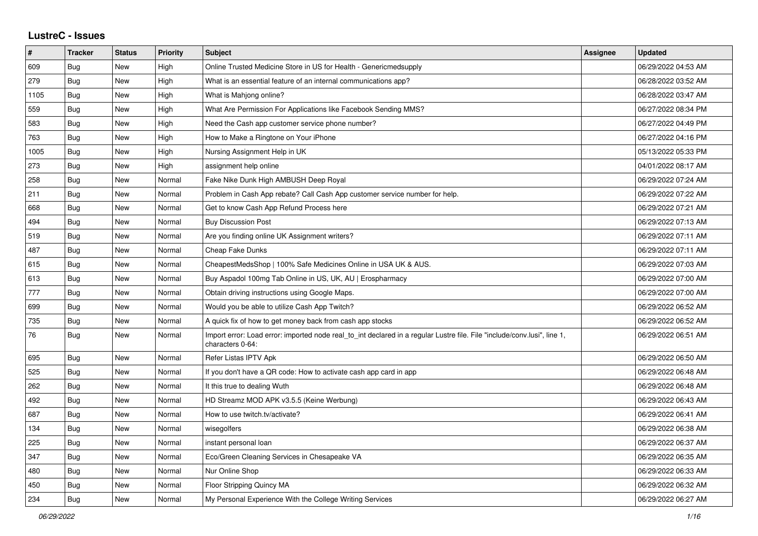## **LustreC - Issues**

| $\#$ | <b>Tracker</b> | <b>Status</b> | <b>Priority</b> | <b>Subject</b>                                                                                                                               | <b>Assignee</b> | <b>Updated</b>      |
|------|----------------|---------------|-----------------|----------------------------------------------------------------------------------------------------------------------------------------------|-----------------|---------------------|
| 609  | <b>Bug</b>     | <b>New</b>    | High            | Online Trusted Medicine Store in US for Health - Genericmedsupply                                                                            |                 | 06/29/2022 04:53 AM |
| 279  | <b>Bug</b>     | <b>New</b>    | High            | What is an essential feature of an internal communications app?                                                                              |                 | 06/28/2022 03:52 AM |
| 1105 | Bug            | <b>New</b>    | High            | What is Mahjong online?                                                                                                                      |                 | 06/28/2022 03:47 AM |
| 559  | <b>Bug</b>     | <b>New</b>    | High            | What Are Permission For Applications like Facebook Sending MMS?                                                                              |                 | 06/27/2022 08:34 PM |
| 583  | <b>Bug</b>     | <b>New</b>    | High            | Need the Cash app customer service phone number?                                                                                             |                 | 06/27/2022 04:49 PM |
| 763  | Bug            | <b>New</b>    | High            | How to Make a Ringtone on Your iPhone                                                                                                        |                 | 06/27/2022 04:16 PM |
| 1005 | <b>Bug</b>     | New           | High            | Nursing Assignment Help in UK                                                                                                                |                 | 05/13/2022 05:33 PM |
| 273  | Bug            | <b>New</b>    | High            | assignment help online                                                                                                                       |                 | 04/01/2022 08:17 AM |
| 258  | Bug            | <b>New</b>    | Normal          | Fake Nike Dunk High AMBUSH Deep Royal                                                                                                        |                 | 06/29/2022 07:24 AM |
| 211  | Bug            | <b>New</b>    | Normal          | Problem in Cash App rebate? Call Cash App customer service number for help.                                                                  |                 | 06/29/2022 07:22 AM |
| 668  | <b>Bug</b>     | New           | Normal          | Get to know Cash App Refund Process here                                                                                                     |                 | 06/29/2022 07:21 AM |
| 494  | Bug            | New           | Normal          | <b>Buy Discussion Post</b>                                                                                                                   |                 | 06/29/2022 07:13 AM |
| 519  | <b>Bug</b>     | <b>New</b>    | Normal          | Are you finding online UK Assignment writers?                                                                                                |                 | 06/29/2022 07:11 AM |
| 487  | <b>Bug</b>     | <b>New</b>    | Normal          | <b>Cheap Fake Dunks</b>                                                                                                                      |                 | 06/29/2022 07:11 AM |
| 615  | <b>Bug</b>     | <b>New</b>    | Normal          | CheapestMedsShop   100% Safe Medicines Online in USA UK & AUS.                                                                               |                 | 06/29/2022 07:03 AM |
| 613  | Bug            | <b>New</b>    | Normal          | Buy Aspadol 100mg Tab Online in US, UK, AU   Erospharmacy                                                                                    |                 | 06/29/2022 07:00 AM |
| 777  | <b>Bug</b>     | New           | Normal          | Obtain driving instructions using Google Maps.                                                                                               |                 | 06/29/2022 07:00 AM |
| 699  | Bug            | <b>New</b>    | Normal          | Would you be able to utilize Cash App Twitch?                                                                                                |                 | 06/29/2022 06:52 AM |
| 735  | Bug            | <b>New</b>    | Normal          | A quick fix of how to get money back from cash app stocks                                                                                    |                 | 06/29/2022 06:52 AM |
| 76   | Bug            | <b>New</b>    | Normal          | Import error: Load error: imported node real_to_int declared in a regular Lustre file. File "include/conv.lusi", line 1,<br>characters 0-64: |                 | 06/29/2022 06:51 AM |
| 695  | <b>Bug</b>     | <b>New</b>    | Normal          | Refer Listas IPTV Apk                                                                                                                        |                 | 06/29/2022 06:50 AM |
| 525  | <b>Bug</b>     | <b>New</b>    | Normal          | If you don't have a QR code: How to activate cash app card in app                                                                            |                 | 06/29/2022 06:48 AM |
| 262  | <b>Bug</b>     | <b>New</b>    | Normal          | It this true to dealing Wuth                                                                                                                 |                 | 06/29/2022 06:48 AM |
| 492  | Bug            | <b>New</b>    | Normal          | HD Streamz MOD APK v3.5.5 (Keine Werbung)                                                                                                    |                 | 06/29/2022 06:43 AM |
| 687  | Bug            | <b>New</b>    | Normal          | How to use twitch.ty/activate?                                                                                                               |                 | 06/29/2022 06:41 AM |
| 134  | Bug            | New           | Normal          | wisegolfers                                                                                                                                  |                 | 06/29/2022 06:38 AM |
| 225  | <b>Bug</b>     | <b>New</b>    | Normal          | instant personal loan                                                                                                                        |                 | 06/29/2022 06:37 AM |
| 347  | <b>Bug</b>     | <b>New</b>    | Normal          | Eco/Green Cleaning Services in Chesapeake VA                                                                                                 |                 | 06/29/2022 06:35 AM |
| 480  | Bug            | <b>New</b>    | Normal          | Nur Online Shop                                                                                                                              |                 | 06/29/2022 06:33 AM |
| 450  | Bug            | <b>New</b>    | Normal          | Floor Stripping Quincy MA                                                                                                                    |                 | 06/29/2022 06:32 AM |
| 234  | Bug            | New           | Normal          | My Personal Experience With the College Writing Services                                                                                     |                 | 06/29/2022 06:27 AM |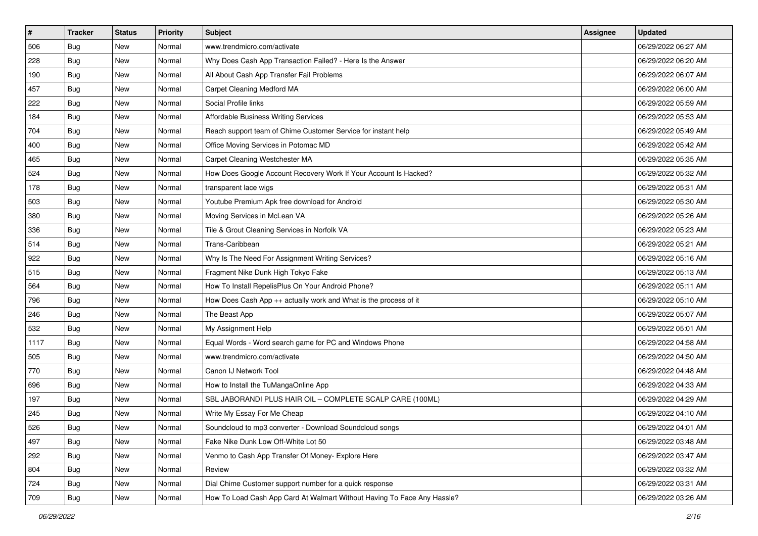| $\sharp$ | <b>Tracker</b> | <b>Status</b> | Priority | <b>Subject</b>                                                          | <b>Assignee</b> | <b>Updated</b>      |
|----------|----------------|---------------|----------|-------------------------------------------------------------------------|-----------------|---------------------|
| 506      | <b>Bug</b>     | New           | Normal   | www.trendmicro.com/activate                                             |                 | 06/29/2022 06:27 AM |
| 228      | <b>Bug</b>     | New           | Normal   | Why Does Cash App Transaction Failed? - Here Is the Answer              |                 | 06/29/2022 06:20 AM |
| 190      | Bug            | New           | Normal   | All About Cash App Transfer Fail Problems                               |                 | 06/29/2022 06:07 AM |
| 457      | Bug            | New           | Normal   | Carpet Cleaning Medford MA                                              |                 | 06/29/2022 06:00 AM |
| 222      | Bug            | New           | Normal   | Social Profile links                                                    |                 | 06/29/2022 05:59 AM |
| 184      | <b>Bug</b>     | New           | Normal   | <b>Affordable Business Writing Services</b>                             |                 | 06/29/2022 05:53 AM |
| 704      | Bug            | New           | Normal   | Reach support team of Chime Customer Service for instant help           |                 | 06/29/2022 05:49 AM |
| 400      | <b>Bug</b>     | New           | Normal   | Office Moving Services in Potomac MD                                    |                 | 06/29/2022 05:42 AM |
| 465      | Bug            | New           | Normal   | Carpet Cleaning Westchester MA                                          |                 | 06/29/2022 05:35 AM |
| 524      | Bug            | New           | Normal   | How Does Google Account Recovery Work If Your Account Is Hacked?        |                 | 06/29/2022 05:32 AM |
| 178      | <b>Bug</b>     | New           | Normal   | transparent lace wigs                                                   |                 | 06/29/2022 05:31 AM |
| 503      | Bug            | New           | Normal   | Youtube Premium Apk free download for Android                           |                 | 06/29/2022 05:30 AM |
| 380      | Bug            | New           | Normal   | Moving Services in McLean VA                                            |                 | 06/29/2022 05:26 AM |
| 336      | Bug            | New           | Normal   | Tile & Grout Cleaning Services in Norfolk VA                            |                 | 06/29/2022 05:23 AM |
| 514      | <b>Bug</b>     | New           | Normal   | Trans-Caribbean                                                         |                 | 06/29/2022 05:21 AM |
| 922      | Bug            | New           | Normal   | Why Is The Need For Assignment Writing Services?                        |                 | 06/29/2022 05:16 AM |
| 515      | Bug            | New           | Normal   | Fragment Nike Dunk High Tokyo Fake                                      |                 | 06/29/2022 05:13 AM |
| 564      | Bug            | New           | Normal   | How To Install RepelisPlus On Your Android Phone?                       |                 | 06/29/2022 05:11 AM |
| 796      | Bug            | New           | Normal   | How Does Cash App ++ actually work and What is the process of it        |                 | 06/29/2022 05:10 AM |
| 246      | Bug            | New           | Normal   | The Beast App                                                           |                 | 06/29/2022 05:07 AM |
| 532      | <b>Bug</b>     | New           | Normal   | My Assignment Help                                                      |                 | 06/29/2022 05:01 AM |
| 1117     | Bug            | New           | Normal   | Equal Words - Word search game for PC and Windows Phone                 |                 | 06/29/2022 04:58 AM |
| 505      | Bug            | New           | Normal   | www.trendmicro.com/activate                                             |                 | 06/29/2022 04:50 AM |
| 770      | <b>Bug</b>     | New           | Normal   | Canon IJ Network Tool                                                   |                 | 06/29/2022 04:48 AM |
| 696      | Bug            | New           | Normal   | How to Install the TuMangaOnline App                                    |                 | 06/29/2022 04:33 AM |
| 197      | Bug            | New           | Normal   | SBL JABORANDI PLUS HAIR OIL - COMPLETE SCALP CARE (100ML)               |                 | 06/29/2022 04:29 AM |
| 245      | <b>Bug</b>     | New           | Normal   | Write My Essay For Me Cheap                                             |                 | 06/29/2022 04:10 AM |
| 526      | I Bug          | New           | Normal   | Soundcloud to mp3 converter - Download Soundcloud songs                 |                 | 06/29/2022 04:01 AM |
| 497      | <b>Bug</b>     | New           | Normal   | Fake Nike Dunk Low Off-White Lot 50                                     |                 | 06/29/2022 03:48 AM |
| 292      | Bug            | New           | Normal   | Venmo to Cash App Transfer Of Money- Explore Here                       |                 | 06/29/2022 03:47 AM |
| 804      | <b>Bug</b>     | New           | Normal   | Review                                                                  |                 | 06/29/2022 03:32 AM |
| 724      | Bug            | New           | Normal   | Dial Chime Customer support number for a quick response                 |                 | 06/29/2022 03:31 AM |
| 709      | <b>Bug</b>     | New           | Normal   | How To Load Cash App Card At Walmart Without Having To Face Any Hassle? |                 | 06/29/2022 03:26 AM |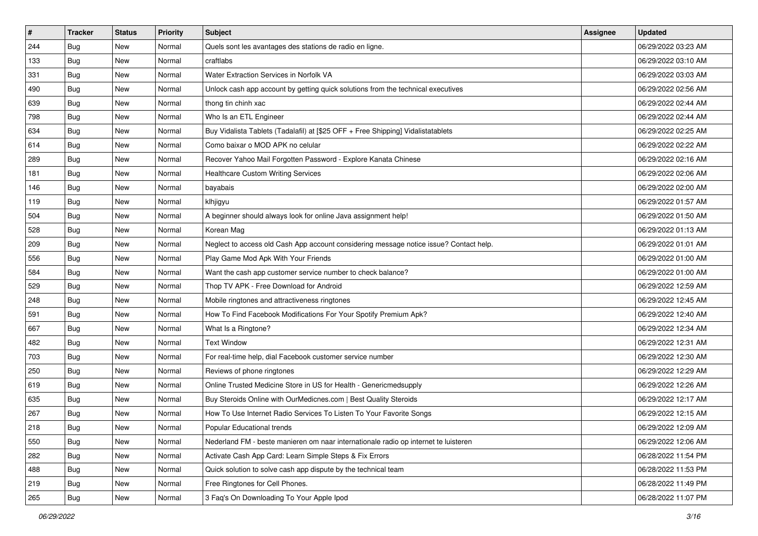| #   | <b>Tracker</b> | <b>Status</b> | <b>Priority</b> | <b>Subject</b>                                                                         | <b>Assignee</b> | <b>Updated</b>      |
|-----|----------------|---------------|-----------------|----------------------------------------------------------------------------------------|-----------------|---------------------|
| 244 | Bug            | New           | Normal          | Quels sont les avantages des stations de radio en ligne.                               |                 | 06/29/2022 03:23 AM |
| 133 | Bug            | New           | Normal          | craftlabs                                                                              |                 | 06/29/2022 03:10 AM |
| 331 | <b>Bug</b>     | New           | Normal          | Water Extraction Services in Norfolk VA                                                |                 | 06/29/2022 03:03 AM |
| 490 | Bug            | New           | Normal          | Unlock cash app account by getting quick solutions from the technical executives       |                 | 06/29/2022 02:56 AM |
| 639 | Bug            | New           | Normal          | thong tin chinh xac                                                                    |                 | 06/29/2022 02:44 AM |
| 798 | Bug            | New           | Normal          | Who Is an ETL Engineer                                                                 |                 | 06/29/2022 02:44 AM |
| 634 | <b>Bug</b>     | New           | Normal          | Buy Vidalista Tablets (Tadalafil) at [\$25 OFF + Free Shipping] Vidalistatablets       |                 | 06/29/2022 02:25 AM |
| 614 | Bug            | New           | Normal          | Como baixar o MOD APK no celular                                                       |                 | 06/29/2022 02:22 AM |
| 289 | Bug            | New           | Normal          | Recover Yahoo Mail Forgotten Password - Explore Kanata Chinese                         |                 | 06/29/2022 02:16 AM |
| 181 | Bug            | New           | Normal          | <b>Healthcare Custom Writing Services</b>                                              |                 | 06/29/2022 02:06 AM |
| 146 | Bug            | New           | Normal          | bayabais                                                                               |                 | 06/29/2022 02:00 AM |
| 119 | Bug            | New           | Normal          | klhjigyu                                                                               |                 | 06/29/2022 01:57 AM |
| 504 | Bug            | New           | Normal          | A beginner should always look for online Java assignment help!                         |                 | 06/29/2022 01:50 AM |
| 528 | <b>Bug</b>     | New           | Normal          | Korean Mag                                                                             |                 | 06/29/2022 01:13 AM |
| 209 | Bug            | New           | Normal          | Neglect to access old Cash App account considering message notice issue? Contact help. |                 | 06/29/2022 01:01 AM |
| 556 | Bug            | New           | Normal          | Play Game Mod Apk With Your Friends                                                    |                 | 06/29/2022 01:00 AM |
| 584 | Bug            | New           | Normal          | Want the cash app customer service number to check balance?                            |                 | 06/29/2022 01:00 AM |
| 529 | <b>Bug</b>     | New           | Normal          | Thop TV APK - Free Download for Android                                                |                 | 06/29/2022 12:59 AM |
| 248 | Bug            | New           | Normal          | Mobile ringtones and attractiveness ringtones                                          |                 | 06/29/2022 12:45 AM |
| 591 | <b>Bug</b>     | New           | Normal          | How To Find Facebook Modifications For Your Spotify Premium Apk?                       |                 | 06/29/2022 12:40 AM |
| 667 | Bug            | New           | Normal          | What Is a Ringtone?                                                                    |                 | 06/29/2022 12:34 AM |
| 482 | Bug            | New           | Normal          | <b>Text Window</b>                                                                     |                 | 06/29/2022 12:31 AM |
| 703 | Bug            | <b>New</b>    | Normal          | For real-time help, dial Facebook customer service number                              |                 | 06/29/2022 12:30 AM |
| 250 | Bug            | New           | Normal          | Reviews of phone ringtones                                                             |                 | 06/29/2022 12:29 AM |
| 619 | Bug            | New           | Normal          | Online Trusted Medicine Store in US for Health - Genericmedsupply                      |                 | 06/29/2022 12:26 AM |
| 635 | <b>Bug</b>     | New           | Normal          | Buy Steroids Online with OurMedicnes.com   Best Quality Steroids                       |                 | 06/29/2022 12:17 AM |
| 267 | <b>Bug</b>     | New           | Normal          | How To Use Internet Radio Services To Listen To Your Favorite Songs                    |                 | 06/29/2022 12:15 AM |
| 218 | I Bug          | New           | Normal          | Popular Educational trends                                                             |                 | 06/29/2022 12:09 AM |
| 550 | Bug            | New           | Normal          | Nederland FM - beste manieren om naar internationale radio op internet te luisteren    |                 | 06/29/2022 12:06 AM |
| 282 | Bug            | New           | Normal          | Activate Cash App Card: Learn Simple Steps & Fix Errors                                |                 | 06/28/2022 11:54 PM |
| 488 | Bug            | New           | Normal          | Quick solution to solve cash app dispute by the technical team                         |                 | 06/28/2022 11:53 PM |
| 219 | <b>Bug</b>     | New           | Normal          | Free Ringtones for Cell Phones.                                                        |                 | 06/28/2022 11:49 PM |
| 265 | <b>Bug</b>     | New           | Normal          | 3 Faq's On Downloading To Your Apple Ipod                                              |                 | 06/28/2022 11:07 PM |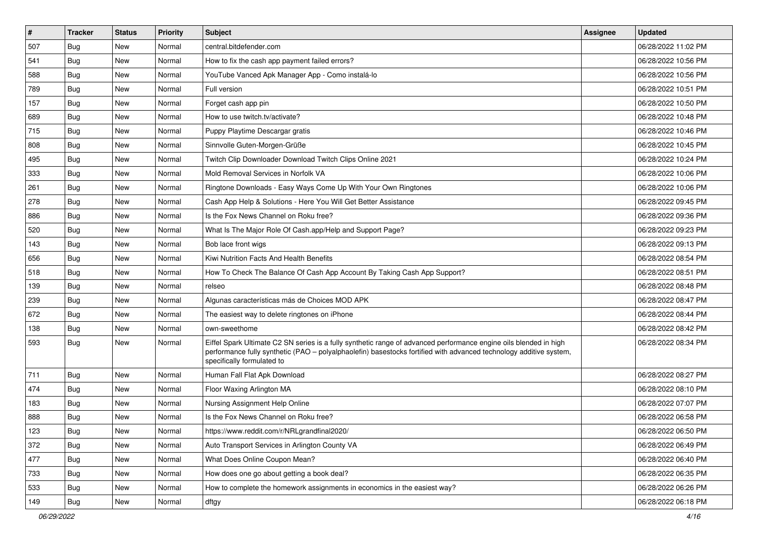| $\vert$ # | <b>Tracker</b> | <b>Status</b> | Priority | <b>Subject</b>                                                                                                                                                                                                                                                        | <b>Assignee</b> | <b>Updated</b>      |
|-----------|----------------|---------------|----------|-----------------------------------------------------------------------------------------------------------------------------------------------------------------------------------------------------------------------------------------------------------------------|-----------------|---------------------|
| 507       | <b>Bug</b>     | New           | Normal   | central.bitdefender.com                                                                                                                                                                                                                                               |                 | 06/28/2022 11:02 PM |
| 541       | Bug            | New           | Normal   | How to fix the cash app payment failed errors?                                                                                                                                                                                                                        |                 | 06/28/2022 10:56 PM |
| 588       | Bug            | New           | Normal   | YouTube Vanced Apk Manager App - Como instalá-lo                                                                                                                                                                                                                      |                 | 06/28/2022 10:56 PM |
| 789       | Bug            | New           | Normal   | Full version                                                                                                                                                                                                                                                          |                 | 06/28/2022 10:51 PM |
| 157       | Bug            | New           | Normal   | Forget cash app pin                                                                                                                                                                                                                                                   |                 | 06/28/2022 10:50 PM |
| 689       | Bug            | New           | Normal   | How to use twitch.tv/activate?                                                                                                                                                                                                                                        |                 | 06/28/2022 10:48 PM |
| 715       | Bug            | New           | Normal   | Puppy Playtime Descargar gratis                                                                                                                                                                                                                                       |                 | 06/28/2022 10:46 PM |
| 808       | Bug            | New           | Normal   | Sinnvolle Guten-Morgen-Grüße                                                                                                                                                                                                                                          |                 | 06/28/2022 10:45 PM |
| 495       | Bug            | New           | Normal   | Twitch Clip Downloader Download Twitch Clips Online 2021                                                                                                                                                                                                              |                 | 06/28/2022 10:24 PM |
| 333       | Bug            | New           | Normal   | Mold Removal Services in Norfolk VA                                                                                                                                                                                                                                   |                 | 06/28/2022 10:06 PM |
| 261       | <b>Bug</b>     | New           | Normal   | Ringtone Downloads - Easy Ways Come Up With Your Own Ringtones                                                                                                                                                                                                        |                 | 06/28/2022 10:06 PM |
| 278       | Bug            | New           | Normal   | Cash App Help & Solutions - Here You Will Get Better Assistance                                                                                                                                                                                                       |                 | 06/28/2022 09:45 PM |
| 886       | Bug            | New           | Normal   | Is the Fox News Channel on Roku free?                                                                                                                                                                                                                                 |                 | 06/28/2022 09:36 PM |
| 520       | Bug            | New           | Normal   | What Is The Major Role Of Cash.app/Help and Support Page?                                                                                                                                                                                                             |                 | 06/28/2022 09:23 PM |
| 143       | Bug            | New           | Normal   | Bob lace front wigs                                                                                                                                                                                                                                                   |                 | 06/28/2022 09:13 PM |
| 656       | Bug            | New           | Normal   | Kiwi Nutrition Facts And Health Benefits                                                                                                                                                                                                                              |                 | 06/28/2022 08:54 PM |
| 518       | Bug            | New           | Normal   | How To Check The Balance Of Cash App Account By Taking Cash App Support?                                                                                                                                                                                              |                 | 06/28/2022 08:51 PM |
| 139       | Bug            | New           | Normal   | relseo                                                                                                                                                                                                                                                                |                 | 06/28/2022 08:48 PM |
| 239       | Bug            | New           | Normal   | Algunas características más de Choices MOD APK                                                                                                                                                                                                                        |                 | 06/28/2022 08:47 PM |
| 672       | Bug            | New           | Normal   | The easiest way to delete ringtones on iPhone                                                                                                                                                                                                                         |                 | 06/28/2022 08:44 PM |
| 138       | <b>Bug</b>     | New           | Normal   | own-sweethome                                                                                                                                                                                                                                                         |                 | 06/28/2022 08:42 PM |
| 593       | Bug            | New           | Normal   | Eiffel Spark Ultimate C2 SN series is a fully synthetic range of advanced performance engine oils blended in high<br>performance fully synthetic (PAO - polyalphaolefin) basestocks fortified with advanced technology additive system,<br>specifically formulated to |                 | 06/28/2022 08:34 PM |
| 711       | Bug            | New           | Normal   | Human Fall Flat Apk Download                                                                                                                                                                                                                                          |                 | 06/28/2022 08:27 PM |
| 474       | Bug            | <b>New</b>    | Normal   | Floor Waxing Arlington MA                                                                                                                                                                                                                                             |                 | 06/28/2022 08:10 PM |
| 183       | <b>Bug</b>     | New           | Normal   | Nursing Assignment Help Online                                                                                                                                                                                                                                        |                 | 06/28/2022 07:07 PM |
| 888       | <b>Bug</b>     | New           | Normal   | Is the Fox News Channel on Roku free?                                                                                                                                                                                                                                 |                 | 06/28/2022 06:58 PM |
| 123       | Bug            | New           | Normal   | https://www.reddit.com/r/NRLgrandfinal2020/                                                                                                                                                                                                                           |                 | 06/28/2022 06:50 PM |
| 372       | Bug            | New           | Normal   | Auto Transport Services in Arlington County VA                                                                                                                                                                                                                        |                 | 06/28/2022 06:49 PM |
| 477       | Bug            | New           | Normal   | What Does Online Coupon Mean?                                                                                                                                                                                                                                         |                 | 06/28/2022 06:40 PM |
| 733       | <b>Bug</b>     | New           | Normal   | How does one go about getting a book deal?                                                                                                                                                                                                                            |                 | 06/28/2022 06:35 PM |
| 533       | <b>Bug</b>     | New           | Normal   | How to complete the homework assignments in economics in the easiest way?                                                                                                                                                                                             |                 | 06/28/2022 06:26 PM |
| 149       | Bug            | New           | Normal   | dftgy                                                                                                                                                                                                                                                                 |                 | 06/28/2022 06:18 PM |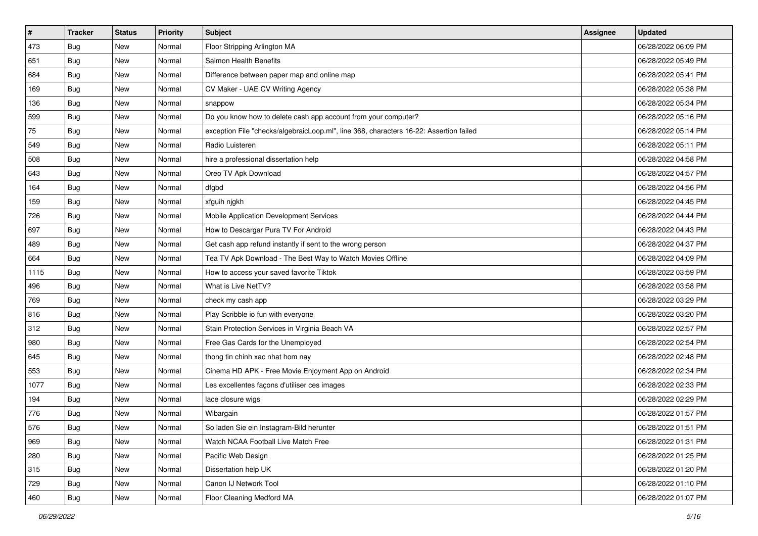| $\sharp$ | <b>Tracker</b> | <b>Status</b> | Priority | <b>Subject</b>                                                                         | <b>Assignee</b> | <b>Updated</b>      |
|----------|----------------|---------------|----------|----------------------------------------------------------------------------------------|-----------------|---------------------|
| 473      | <b>Bug</b>     | New           | Normal   | Floor Stripping Arlington MA                                                           |                 | 06/28/2022 06:09 PM |
| 651      | Bug            | New           | Normal   | Salmon Health Benefits                                                                 |                 | 06/28/2022 05:49 PM |
| 684      | Bug            | New           | Normal   | Difference between paper map and online map                                            |                 | 06/28/2022 05:41 PM |
| 169      | <b>Bug</b>     | New           | Normal   | CV Maker - UAE CV Writing Agency                                                       |                 | 06/28/2022 05:38 PM |
| 136      | <b>Bug</b>     | New           | Normal   | snappow                                                                                |                 | 06/28/2022 05:34 PM |
| 599      | <b>Bug</b>     | New           | Normal   | Do you know how to delete cash app account from your computer?                         |                 | 06/28/2022 05:16 PM |
| 75       | Bug            | New           | Normal   | exception File "checks/algebraicLoop.ml", line 368, characters 16-22: Assertion failed |                 | 06/28/2022 05:14 PM |
| 549      | <b>Bug</b>     | New           | Normal   | Radio Luisteren                                                                        |                 | 06/28/2022 05:11 PM |
| 508      | Bug            | New           | Normal   | hire a professional dissertation help                                                  |                 | 06/28/2022 04:58 PM |
| 643      | <b>Bug</b>     | New           | Normal   | Oreo TV Apk Download                                                                   |                 | 06/28/2022 04:57 PM |
| 164      | Bug            | New           | Normal   | dfgbd                                                                                  |                 | 06/28/2022 04:56 PM |
| 159      | Bug            | New           | Normal   | xfguih njgkh                                                                           |                 | 06/28/2022 04:45 PM |
| 726      | Bug            | New           | Normal   | <b>Mobile Application Development Services</b>                                         |                 | 06/28/2022 04:44 PM |
| 697      | <b>Bug</b>     | New           | Normal   | How to Descargar Pura TV For Android                                                   |                 | 06/28/2022 04:43 PM |
| 489      | <b>Bug</b>     | New           | Normal   | Get cash app refund instantly if sent to the wrong person                              |                 | 06/28/2022 04:37 PM |
| 664      | Bug            | New           | Normal   | Tea TV Apk Download - The Best Way to Watch Movies Offline                             |                 | 06/28/2022 04:09 PM |
| 1115     | <b>Bug</b>     | New           | Normal   | How to access your saved favorite Tiktok                                               |                 | 06/28/2022 03:59 PM |
| 496      | Bug            | New           | Normal   | What is Live NetTV?                                                                    |                 | 06/28/2022 03:58 PM |
| 769      | <b>Bug</b>     | New           | Normal   | check my cash app                                                                      |                 | 06/28/2022 03:29 PM |
| 816      | Bug            | New           | Normal   | Play Scribble io fun with everyone                                                     |                 | 06/28/2022 03:20 PM |
| 312      | <b>Bug</b>     | New           | Normal   | Stain Protection Services in Virginia Beach VA                                         |                 | 06/28/2022 02:57 PM |
| 980      | Bug            | New           | Normal   | Free Gas Cards for the Unemployed                                                      |                 | 06/28/2022 02:54 PM |
| 645      | Bug            | New           | Normal   | thong tin chinh xac nhat hom nay                                                       |                 | 06/28/2022 02:48 PM |
| 553      | <b>Bug</b>     | New           | Normal   | Cinema HD APK - Free Movie Enjoyment App on Android                                    |                 | 06/28/2022 02:34 PM |
| 1077     | Bug            | New           | Normal   | Les excellentes façons d'utiliser ces images                                           |                 | 06/28/2022 02:33 PM |
| 194      | Bug            | New           | Normal   | lace closure wigs                                                                      |                 | 06/28/2022 02:29 PM |
| 776      | Bug            | New           | Normal   | Wibargain                                                                              |                 | 06/28/2022 01:57 PM |
| 576      | <b>Bug</b>     | New           | Normal   | So laden Sie ein Instagram-Bild herunter                                               |                 | 06/28/2022 01:51 PM |
| 969      | <b>Bug</b>     | New           | Normal   | Watch NCAA Football Live Match Free                                                    |                 | 06/28/2022 01:31 PM |
| 280      | <b>Bug</b>     | New           | Normal   | Pacific Web Design                                                                     |                 | 06/28/2022 01:25 PM |
| 315      | Bug            | New           | Normal   | Dissertation help UK                                                                   |                 | 06/28/2022 01:20 PM |
| 729      | <b>Bug</b>     | New           | Normal   | Canon IJ Network Tool                                                                  |                 | 06/28/2022 01:10 PM |
| 460      | <b>Bug</b>     | New           | Normal   | Floor Cleaning Medford MA                                                              |                 | 06/28/2022 01:07 PM |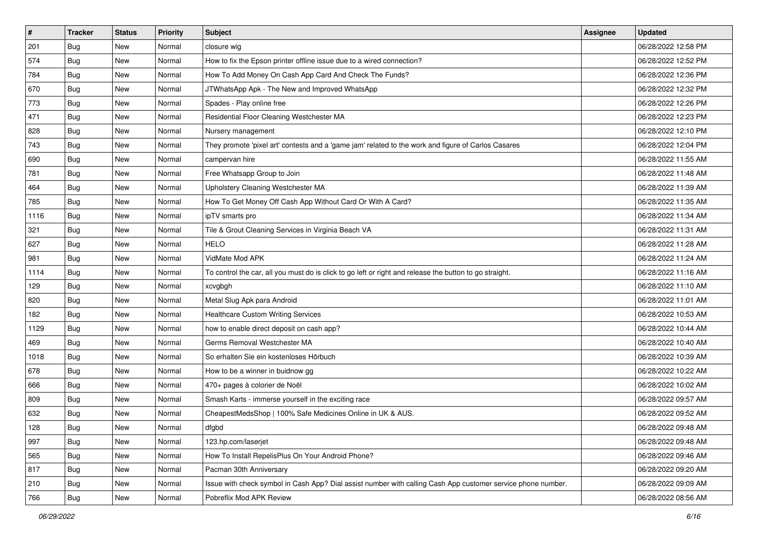| $\vert$ # | <b>Tracker</b> | <b>Status</b> | Priority | Subject                                                                                                      | <b>Assignee</b> | <b>Updated</b>      |
|-----------|----------------|---------------|----------|--------------------------------------------------------------------------------------------------------------|-----------------|---------------------|
| 201       | <b>Bug</b>     | New           | Normal   | closure wig                                                                                                  |                 | 06/28/2022 12:58 PM |
| 574       | Bug            | New           | Normal   | How to fix the Epson printer offline issue due to a wired connection?                                        |                 | 06/28/2022 12:52 PM |
| 784       | Bug            | New           | Normal   | How To Add Money On Cash App Card And Check The Funds?                                                       |                 | 06/28/2022 12:36 PM |
| 670       | Bug            | New           | Normal   | JTWhatsApp Apk - The New and Improved WhatsApp                                                               |                 | 06/28/2022 12:32 PM |
| 773       | Bug            | New           | Normal   | Spades - Play online free                                                                                    |                 | 06/28/2022 12:26 PM |
| 471       | <b>Bug</b>     | New           | Normal   | Residential Floor Cleaning Westchester MA                                                                    |                 | 06/28/2022 12:23 PM |
| 828       | Bug            | New           | Normal   | Nursery management                                                                                           |                 | 06/28/2022 12:10 PM |
| 743       | <b>Bug</b>     | New           | Normal   | They promote 'pixel art' contests and a 'game jam' related to the work and figure of Carlos Casares          |                 | 06/28/2022 12:04 PM |
| 690       | Bug            | New           | Normal   | campervan hire                                                                                               |                 | 06/28/2022 11:55 AM |
| 781       | <b>Bug</b>     | New           | Normal   | Free Whatsapp Group to Join                                                                                  |                 | 06/28/2022 11:48 AM |
| 464       | Bug            | New           | Normal   | Upholstery Cleaning Westchester MA                                                                           |                 | 06/28/2022 11:39 AM |
| 785       | Bug            | New           | Normal   | How To Get Money Off Cash App Without Card Or With A Card?                                                   |                 | 06/28/2022 11:35 AM |
| 1116      | Bug            | New           | Normal   | ipTV smarts pro                                                                                              |                 | 06/28/2022 11:34 AM |
| 321       | Bug            | New           | Normal   | Tile & Grout Cleaning Services in Virginia Beach VA                                                          |                 | 06/28/2022 11:31 AM |
| 627       | <b>Bug</b>     | New           | Normal   | <b>HELO</b>                                                                                                  |                 | 06/28/2022 11:28 AM |
| 981       | Bug            | New           | Normal   | VidMate Mod APK                                                                                              |                 | 06/28/2022 11:24 AM |
| 1114      | <b>Bug</b>     | New           | Normal   | To control the car, all you must do is click to go left or right and release the button to go straight.      |                 | 06/28/2022 11:16 AM |
| 129       | Bug            | New           | Normal   | xcvgbgh                                                                                                      |                 | 06/28/2022 11:10 AM |
| 820       | <b>Bug</b>     | New           | Normal   | Metal Slug Apk para Android                                                                                  |                 | 06/28/2022 11:01 AM |
| 182       | Bug            | New           | Normal   | <b>Healthcare Custom Writing Services</b>                                                                    |                 | 06/28/2022 10:53 AM |
| 1129      | <b>Bug</b>     | New           | Normal   | how to enable direct deposit on cash app?                                                                    |                 | 06/28/2022 10:44 AM |
| 469       | Bug            | New           | Normal   | Germs Removal Westchester MA                                                                                 |                 | 06/28/2022 10:40 AM |
| 1018      | Bug            | New           | Normal   | So erhalten Sie ein kostenloses Hörbuch                                                                      |                 | 06/28/2022 10:39 AM |
| 678       | <b>Bug</b>     | New           | Normal   | How to be a winner in buidnow gg                                                                             |                 | 06/28/2022 10:22 AM |
| 666       | Bug            | New           | Normal   | 470+ pages à colorier de Noël                                                                                |                 | 06/28/2022 10:02 AM |
| 809       | Bug            | New           | Normal   | Smash Karts - immerse yourself in the exciting race                                                          |                 | 06/28/2022 09:57 AM |
| 632       | <b>Bug</b>     | New           | Normal   | CheapestMedsShop   100% Safe Medicines Online in UK & AUS.                                                   |                 | 06/28/2022 09:52 AM |
| 128       | <b>Bug</b>     | New           | Normal   | dfgbd                                                                                                        |                 | 06/28/2022 09:48 AM |
| 997       | Bug            | New           | Normal   | 123.hp.com/laserjet                                                                                          |                 | 06/28/2022 09:48 AM |
| 565       | Bug            | New           | Normal   | How To Install RepelisPlus On Your Android Phone?                                                            |                 | 06/28/2022 09:46 AM |
| 817       | Bug            | New           | Normal   | Pacman 30th Anniversary                                                                                      |                 | 06/28/2022 09:20 AM |
| 210       | Bug            | New           | Normal   | Issue with check symbol in Cash App? Dial assist number with calling Cash App customer service phone number. |                 | 06/28/2022 09:09 AM |
| 766       | <b>Bug</b>     | New           | Normal   | Pobreflix Mod APK Review                                                                                     |                 | 06/28/2022 08:56 AM |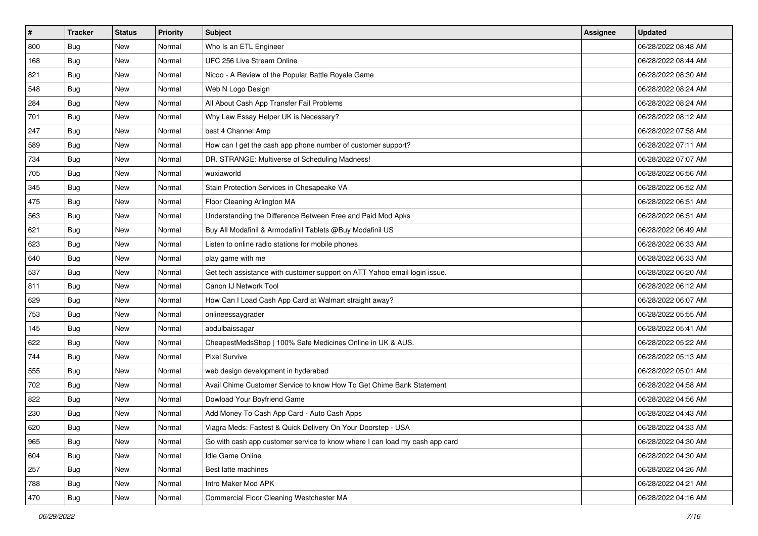| $\sharp$ | <b>Tracker</b> | <b>Status</b> | Priority | <b>Subject</b>                                                              | <b>Assignee</b> | <b>Updated</b>      |
|----------|----------------|---------------|----------|-----------------------------------------------------------------------------|-----------------|---------------------|
| 800      | Bug            | New           | Normal   | Who Is an ETL Engineer                                                      |                 | 06/28/2022 08:48 AM |
| 168      | Bug            | New           | Normal   | UFC 256 Live Stream Online                                                  |                 | 06/28/2022 08:44 AM |
| 821      | Bug            | New           | Normal   | Nicoo - A Review of the Popular Battle Royale Game                          |                 | 06/28/2022 08:30 AM |
| 548      | Bug            | New           | Normal   | Web N Logo Design                                                           |                 | 06/28/2022 08:24 AM |
| 284      | Bug            | New           | Normal   | All About Cash App Transfer Fail Problems                                   |                 | 06/28/2022 08:24 AM |
| 701      | <b>Bug</b>     | New           | Normal   | Why Law Essay Helper UK is Necessary?                                       |                 | 06/28/2022 08:12 AM |
| 247      | Bug            | New           | Normal   | best 4 Channel Amp                                                          |                 | 06/28/2022 07:58 AM |
| 589      | <b>Bug</b>     | New           | Normal   | How can I get the cash app phone number of customer support?                |                 | 06/28/2022 07:11 AM |
| 734      | Bug            | New           | Normal   | DR. STRANGE: Multiverse of Scheduling Madness!                              |                 | 06/28/2022 07:07 AM |
| 705      | Bug            | New           | Normal   | wuxiaworld                                                                  |                 | 06/28/2022 06:56 AM |
| 345      | <b>Bug</b>     | New           | Normal   | Stain Protection Services in Chesapeake VA                                  |                 | 06/28/2022 06:52 AM |
| 475      | Bug            | New           | Normal   | Floor Cleaning Arlington MA                                                 |                 | 06/28/2022 06:51 AM |
| 563      | Bug            | New           | Normal   | Understanding the Difference Between Free and Paid Mod Apks                 |                 | 06/28/2022 06:51 AM |
| 621      | Bug            | New           | Normal   | Buy All Modafinil & Armodafinil Tablets @Buy Modafinil US                   |                 | 06/28/2022 06:49 AM |
| 623      | <b>Bug</b>     | New           | Normal   | Listen to online radio stations for mobile phones                           |                 | 06/28/2022 06:33 AM |
| 640      | Bug            | New           | Normal   | play game with me                                                           |                 | 06/28/2022 06:33 AM |
| 537      | Bug            | New           | Normal   | Get tech assistance with customer support on ATT Yahoo email login issue.   |                 | 06/28/2022 06:20 AM |
| 811      | Bug            | New           | Normal   | Canon IJ Network Tool                                                       |                 | 06/28/2022 06:12 AM |
| 629      | Bug            | New           | Normal   | How Can I Load Cash App Card at Walmart straight away?                      |                 | 06/28/2022 06:07 AM |
| 753      | Bug            | New           | Normal   | onlineessaygrader                                                           |                 | 06/28/2022 05:55 AM |
| 145      | <b>Bug</b>     | New           | Normal   | abdulbaissagar                                                              |                 | 06/28/2022 05:41 AM |
| 622      | Bug            | New           | Normal   | CheapestMedsShop   100% Safe Medicines Online in UK & AUS.                  |                 | 06/28/2022 05:22 AM |
| 744      | Bug            | New           | Normal   | <b>Pixel Survive</b>                                                        |                 | 06/28/2022 05:13 AM |
| 555      | <b>Bug</b>     | New           | Normal   | web design development in hyderabad                                         |                 | 06/28/2022 05:01 AM |
| 702      | Bug            | New           | Normal   | Avail Chime Customer Service to know How To Get Chime Bank Statement        |                 | 06/28/2022 04:58 AM |
| 822      | Bug            | New           | Normal   | Dowload Your Boyfriend Game                                                 |                 | 06/28/2022 04:56 AM |
| 230      | Bug            | New           | Normal   | Add Money To Cash App Card - Auto Cash Apps                                 |                 | 06/28/2022 04:43 AM |
| 620      | I Bug          | New           | Normal   | Viagra Meds: Fastest & Quick Delivery On Your Doorstep - USA                |                 | 06/28/2022 04:33 AM |
| 965      | <b>Bug</b>     | New           | Normal   | Go with cash app customer service to know where I can load my cash app card |                 | 06/28/2022 04:30 AM |
| 604      | <b>Bug</b>     | New           | Normal   | Idle Game Online                                                            |                 | 06/28/2022 04:30 AM |
| 257      | <b>Bug</b>     | New           | Normal   | Best latte machines                                                         |                 | 06/28/2022 04:26 AM |
| 788      | Bug            | New           | Normal   | Intro Maker Mod APK                                                         |                 | 06/28/2022 04:21 AM |
| 470      | <b>Bug</b>     | New           | Normal   | Commercial Floor Cleaning Westchester MA                                    |                 | 06/28/2022 04:16 AM |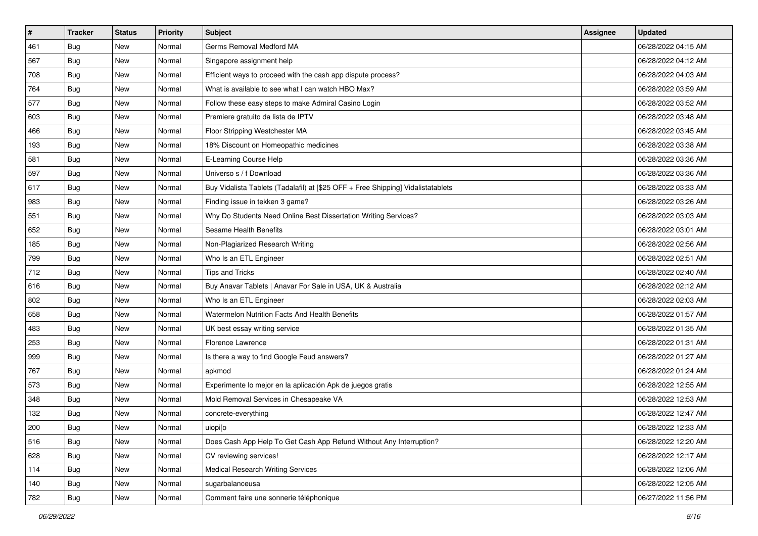| $\pmb{\#}$ | <b>Tracker</b> | <b>Status</b> | Priority | <b>Subject</b>                                                                   | Assignee | <b>Updated</b>      |
|------------|----------------|---------------|----------|----------------------------------------------------------------------------------|----------|---------------------|
| 461        | <b>Bug</b>     | New           | Normal   | Germs Removal Medford MA                                                         |          | 06/28/2022 04:15 AM |
| 567        | <b>Bug</b>     | New           | Normal   | Singapore assignment help                                                        |          | 06/28/2022 04:12 AM |
| 708        | <b>Bug</b>     | New           | Normal   | Efficient ways to proceed with the cash app dispute process?                     |          | 06/28/2022 04:03 AM |
| 764        | <b>Bug</b>     | New           | Normal   | What is available to see what I can watch HBO Max?                               |          | 06/28/2022 03:59 AM |
| 577        | Bug            | <b>New</b>    | Normal   | Follow these easy steps to make Admiral Casino Login                             |          | 06/28/2022 03:52 AM |
| 603        | <b>Bug</b>     | New           | Normal   | Premiere gratuito da lista de IPTV                                               |          | 06/28/2022 03:48 AM |
| 466        | Bug            | New           | Normal   | Floor Stripping Westchester MA                                                   |          | 06/28/2022 03:45 AM |
| 193        | <b>Bug</b>     | <b>New</b>    | Normal   | 18% Discount on Homeopathic medicines                                            |          | 06/28/2022 03:38 AM |
| 581        | <b>Bug</b>     | New           | Normal   | E-Learning Course Help                                                           |          | 06/28/2022 03:36 AM |
| 597        | Bug            | <b>New</b>    | Normal   | Universo s / f Download                                                          |          | 06/28/2022 03:36 AM |
| 617        | <b>Bug</b>     | New           | Normal   | Buy Vidalista Tablets (Tadalafil) at [\$25 OFF + Free Shipping] Vidalistatablets |          | 06/28/2022 03:33 AM |
| 983        | <b>Bug</b>     | New           | Normal   | Finding issue in tekken 3 game?                                                  |          | 06/28/2022 03:26 AM |
| 551        | Bug            | <b>New</b>    | Normal   | Why Do Students Need Online Best Dissertation Writing Services?                  |          | 06/28/2022 03:03 AM |
| 652        | <b>Bug</b>     | New           | Normal   | Sesame Health Benefits                                                           |          | 06/28/2022 03:01 AM |
| 185        | Bug            | New           | Normal   | Non-Plagiarized Research Writing                                                 |          | 06/28/2022 02:56 AM |
| 799        | <b>Bug</b>     | New           | Normal   | Who Is an ETL Engineer                                                           |          | 06/28/2022 02:51 AM |
| 712        | <b>Bug</b>     | New           | Normal   | <b>Tips and Tricks</b>                                                           |          | 06/28/2022 02:40 AM |
| 616        | Bug            | <b>New</b>    | Normal   | Buy Anavar Tablets   Anavar For Sale in USA, UK & Australia                      |          | 06/28/2022 02:12 AM |
| 802        | <b>Bug</b>     | New           | Normal   | Who Is an ETL Engineer                                                           |          | 06/28/2022 02:03 AM |
| 658        | Bug            | New           | Normal   | Watermelon Nutrition Facts And Health Benefits                                   |          | 06/28/2022 01:57 AM |
| 483        | <b>Bug</b>     | New           | Normal   | UK best essay writing service                                                    |          | 06/28/2022 01:35 AM |
| 253        | <b>Bug</b>     | New           | Normal   | Florence Lawrence                                                                |          | 06/28/2022 01:31 AM |
| 999        | Bug            | <b>New</b>    | Normal   | Is there a way to find Google Feud answers?                                      |          | 06/28/2022 01:27 AM |
| 767        | <b>Bug</b>     | New           | Normal   | apkmod                                                                           |          | 06/28/2022 01:24 AM |
| 573        | <b>Bug</b>     | New           | Normal   | Experimente lo mejor en la aplicación Apk de juegos gratis                       |          | 06/28/2022 12:55 AM |
| 348        | <b>Bug</b>     | <b>New</b>    | Normal   | Mold Removal Services in Chesapeake VA                                           |          | 06/28/2022 12:53 AM |
| 132        | <b>Bug</b>     | New           | Normal   | concrete-everything                                                              |          | 06/28/2022 12:47 AM |
| 200        | Bug            | New           | Normal   | uiopi[o                                                                          |          | 06/28/2022 12:33 AM |
| 516        | <b>Bug</b>     | New           | Normal   | Does Cash App Help To Get Cash App Refund Without Any Interruption?              |          | 06/28/2022 12:20 AM |
| 628        | <b>Bug</b>     | New           | Normal   | CV reviewing services!                                                           |          | 06/28/2022 12:17 AM |
| 114        | <b>Bug</b>     | New           | Normal   | <b>Medical Research Writing Services</b>                                         |          | 06/28/2022 12:06 AM |
| 140        | Bug            | New           | Normal   | sugarbalanceusa                                                                  |          | 06/28/2022 12:05 AM |
| 782        | <b>Bug</b>     | New           | Normal   | Comment faire une sonnerie téléphonique                                          |          | 06/27/2022 11:56 PM |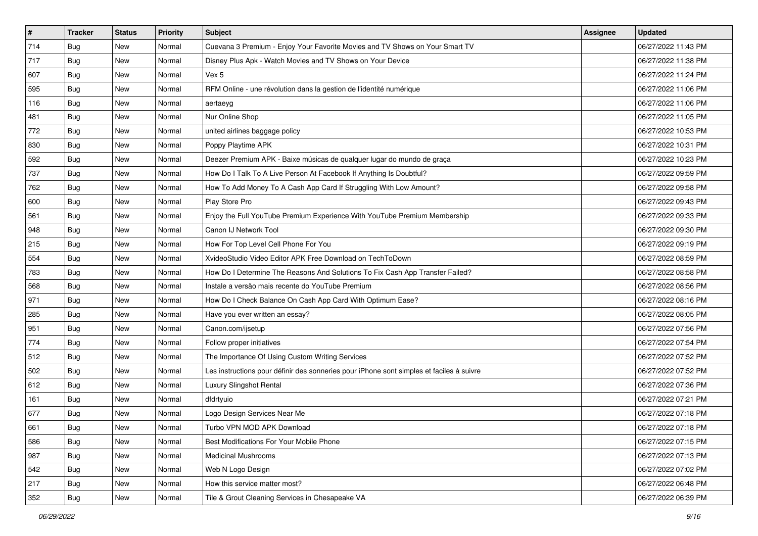| $\vert$ # | <b>Tracker</b> | <b>Status</b> | <b>Priority</b> | <b>Subject</b>                                                                           | <b>Assignee</b> | <b>Updated</b>      |
|-----------|----------------|---------------|-----------------|------------------------------------------------------------------------------------------|-----------------|---------------------|
| 714       | <b>Bug</b>     | New           | Normal          | Cuevana 3 Premium - Enjoy Your Favorite Movies and TV Shows on Your Smart TV             |                 | 06/27/2022 11:43 PM |
| 717       | <b>Bug</b>     | New           | Normal          | Disney Plus Apk - Watch Movies and TV Shows on Your Device                               |                 | 06/27/2022 11:38 PM |
| 607       | Bug            | New           | Normal          | Vex 5                                                                                    |                 | 06/27/2022 11:24 PM |
| 595       | <b>Bug</b>     | New           | Normal          | RFM Online - une révolution dans la gestion de l'identité numérique                      |                 | 06/27/2022 11:06 PM |
| 116       | <b>Bug</b>     | New           | Normal          | aertaeyg                                                                                 |                 | 06/27/2022 11:06 PM |
| 481       | <b>Bug</b>     | New           | Normal          | Nur Online Shop                                                                          |                 | 06/27/2022 11:05 PM |
| 772       | <b>Bug</b>     | New           | Normal          | united airlines baggage policy                                                           |                 | 06/27/2022 10:53 PM |
| 830       | <b>Bug</b>     | New           | Normal          | Poppy Playtime APK                                                                       |                 | 06/27/2022 10:31 PM |
| 592       | <b>Bug</b>     | New           | Normal          | Deezer Premium APK - Baixe músicas de qualquer lugar do mundo de graça                   |                 | 06/27/2022 10:23 PM |
| 737       | <b>Bug</b>     | New           | Normal          | How Do I Talk To A Live Person At Facebook If Anything Is Doubtful?                      |                 | 06/27/2022 09:59 PM |
| 762       | Bug            | New           | Normal          | How To Add Money To A Cash App Card If Struggling With Low Amount?                       |                 | 06/27/2022 09:58 PM |
| 600       | <b>Bug</b>     | New           | Normal          | Play Store Pro                                                                           |                 | 06/27/2022 09:43 PM |
| 561       | Bug            | <b>New</b>    | Normal          | Enjoy the Full YouTube Premium Experience With YouTube Premium Membership                |                 | 06/27/2022 09:33 PM |
| 948       | <b>Bug</b>     | New           | Normal          | Canon IJ Network Tool                                                                    |                 | 06/27/2022 09:30 PM |
| 215       | <b>Bug</b>     | New           | Normal          | How For Top Level Cell Phone For You                                                     |                 | 06/27/2022 09:19 PM |
| 554       | Bug            | New           | Normal          | XvideoStudio Video Editor APK Free Download on TechToDown                                |                 | 06/27/2022 08:59 PM |
| 783       | <b>Bug</b>     | New           | Normal          | How Do I Determine The Reasons And Solutions To Fix Cash App Transfer Failed?            |                 | 06/27/2022 08:58 PM |
| 568       | <b>Bug</b>     | New           | Normal          | Instale a versão mais recente do YouTube Premium                                         |                 | 06/27/2022 08:56 PM |
| 971       | <b>Bug</b>     | New           | Normal          | How Do I Check Balance On Cash App Card With Optimum Ease?                               |                 | 06/27/2022 08:16 PM |
| 285       | Bug            | New           | Normal          | Have you ever written an essay?                                                          |                 | 06/27/2022 08:05 PM |
| 951       | <b>Bug</b>     | New           | Normal          | Canon.com/ijsetup                                                                        |                 | 06/27/2022 07:56 PM |
| 774       | <b>Bug</b>     | New           | Normal          | Follow proper initiatives                                                                |                 | 06/27/2022 07:54 PM |
| 512       | <b>Bug</b>     | New           | Normal          | The Importance Of Using Custom Writing Services                                          |                 | 06/27/2022 07:52 PM |
| 502       | <b>Bug</b>     | New           | Normal          | Les instructions pour définir des sonneries pour iPhone sont simples et faciles à suivre |                 | 06/27/2022 07:52 PM |
| 612       | Bug            | New           | Normal          | Luxury Slingshot Rental                                                                  |                 | 06/27/2022 07:36 PM |
| 161       | Bug            | New           | Normal          | dfdrtyuio                                                                                |                 | 06/27/2022 07:21 PM |
| 677       | <b>Bug</b>     | New           | Normal          | Logo Design Services Near Me                                                             |                 | 06/27/2022 07:18 PM |
| 661       | Bug            | New           | Normal          | Turbo VPN MOD APK Download                                                               |                 | 06/27/2022 07:18 PM |
| 586       | Bug            | New           | Normal          | Best Modifications For Your Mobile Phone                                                 |                 | 06/27/2022 07:15 PM |
| 987       | <b>Bug</b>     | New           | Normal          | <b>Medicinal Mushrooms</b>                                                               |                 | 06/27/2022 07:13 PM |
| 542       | Bug            | New           | Normal          | Web N Logo Design                                                                        |                 | 06/27/2022 07:02 PM |
| 217       | <b>Bug</b>     | New           | Normal          | How this service matter most?                                                            |                 | 06/27/2022 06:48 PM |
| 352       | <b>Bug</b>     | New           | Normal          | Tile & Grout Cleaning Services in Chesapeake VA                                          |                 | 06/27/2022 06:39 PM |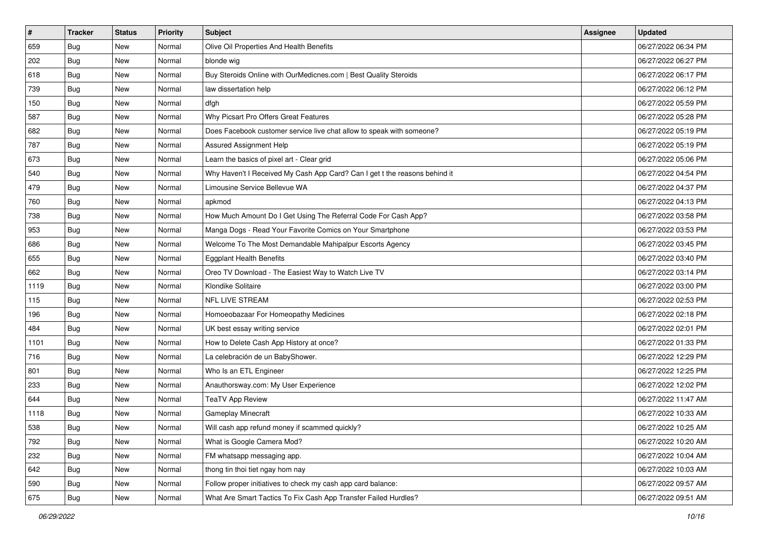| $\sharp$ | <b>Tracker</b> | <b>Status</b> | Priority | <b>Subject</b>                                                             | <b>Assignee</b> | <b>Updated</b>      |
|----------|----------------|---------------|----------|----------------------------------------------------------------------------|-----------------|---------------------|
| 659      | <b>Bug</b>     | New           | Normal   | Olive Oil Properties And Health Benefits                                   |                 | 06/27/2022 06:34 PM |
| 202      | Bug            | New           | Normal   | blonde wig                                                                 |                 | 06/27/2022 06:27 PM |
| 618      | Bug            | New           | Normal   | Buy Steroids Online with OurMedicnes.com   Best Quality Steroids           |                 | 06/27/2022 06:17 PM |
| 739      | <b>Bug</b>     | New           | Normal   | law dissertation help                                                      |                 | 06/27/2022 06:12 PM |
| 150      | Bug            | New           | Normal   | dfgh                                                                       |                 | 06/27/2022 05:59 PM |
| 587      | <b>Bug</b>     | New           | Normal   | Why Picsart Pro Offers Great Features                                      |                 | 06/27/2022 05:28 PM |
| 682      | Bug            | New           | Normal   | Does Facebook customer service live chat allow to speak with someone?      |                 | 06/27/2022 05:19 PM |
| 787      | <b>Bug</b>     | New           | Normal   | Assured Assignment Help                                                    |                 | 06/27/2022 05:19 PM |
| 673      | Bug            | New           | Normal   | Learn the basics of pixel art - Clear grid                                 |                 | 06/27/2022 05:06 PM |
| 540      | <b>Bug</b>     | New           | Normal   | Why Haven't I Received My Cash App Card? Can I get t the reasons behind it |                 | 06/27/2022 04:54 PM |
| 479      | Bug            | New           | Normal   | Limousine Service Bellevue WA                                              |                 | 06/27/2022 04:37 PM |
| 760      | Bug            | New           | Normal   | apkmod                                                                     |                 | 06/27/2022 04:13 PM |
| 738      | Bug            | New           | Normal   | How Much Amount Do I Get Using The Referral Code For Cash App?             |                 | 06/27/2022 03:58 PM |
| 953      | <b>Bug</b>     | New           | Normal   | Manga Dogs - Read Your Favorite Comics on Your Smartphone                  |                 | 06/27/2022 03:53 PM |
| 686      | <b>Bug</b>     | New           | Normal   | Welcome To The Most Demandable Mahipalpur Escorts Agency                   |                 | 06/27/2022 03:45 PM |
| 655      | Bug            | New           | Normal   | <b>Eggplant Health Benefits</b>                                            |                 | 06/27/2022 03:40 PM |
| 662      | <b>Bug</b>     | New           | Normal   | Oreo TV Download - The Easiest Way to Watch Live TV                        |                 | 06/27/2022 03:14 PM |
| 1119     | Bug            | New           | Normal   | Klondike Solitaire                                                         |                 | 06/27/2022 03:00 PM |
| 115      | <b>Bug</b>     | New           | Normal   | <b>NFL LIVE STREAM</b>                                                     |                 | 06/27/2022 02:53 PM |
| 196      | Bug            | New           | Normal   | Homoeobazaar For Homeopathy Medicines                                      |                 | 06/27/2022 02:18 PM |
| 484      | <b>Bug</b>     | New           | Normal   | UK best essay writing service                                              |                 | 06/27/2022 02:01 PM |
| 1101     | Bug            | New           | Normal   | How to Delete Cash App History at once?                                    |                 | 06/27/2022 01:33 PM |
| 716      | Bug            | New           | Normal   | La celebración de un BabyShower.                                           |                 | 06/27/2022 12:29 PM |
| 801      | <b>Bug</b>     | New           | Normal   | Who Is an ETL Engineer                                                     |                 | 06/27/2022 12:25 PM |
| 233      | Bug            | New           | Normal   | Anauthorsway.com: My User Experience                                       |                 | 06/27/2022 12:02 PM |
| 644      | Bug            | New           | Normal   | <b>TeaTV App Review</b>                                                    |                 | 06/27/2022 11:47 AM |
| 1118     | <b>Bug</b>     | New           | Normal   | Gameplay Minecraft                                                         |                 | 06/27/2022 10:33 AM |
| 538      | <b>Bug</b>     | New           | Normal   | Will cash app refund money if scammed quickly?                             |                 | 06/27/2022 10:25 AM |
| 792      | <b>Bug</b>     | New           | Normal   | What is Google Camera Mod?                                                 |                 | 06/27/2022 10:20 AM |
| 232      | <b>Bug</b>     | New           | Normal   | FM whatsapp messaging app.                                                 |                 | 06/27/2022 10:04 AM |
| 642      | Bug            | New           | Normal   | thong tin thoi tiet ngay hom nay                                           |                 | 06/27/2022 10:03 AM |
| 590      | <b>Bug</b>     | New           | Normal   | Follow proper initiatives to check my cash app card balance:               |                 | 06/27/2022 09:57 AM |
| 675      | <b>Bug</b>     | New           | Normal   | What Are Smart Tactics To Fix Cash App Transfer Failed Hurdles?            |                 | 06/27/2022 09:51 AM |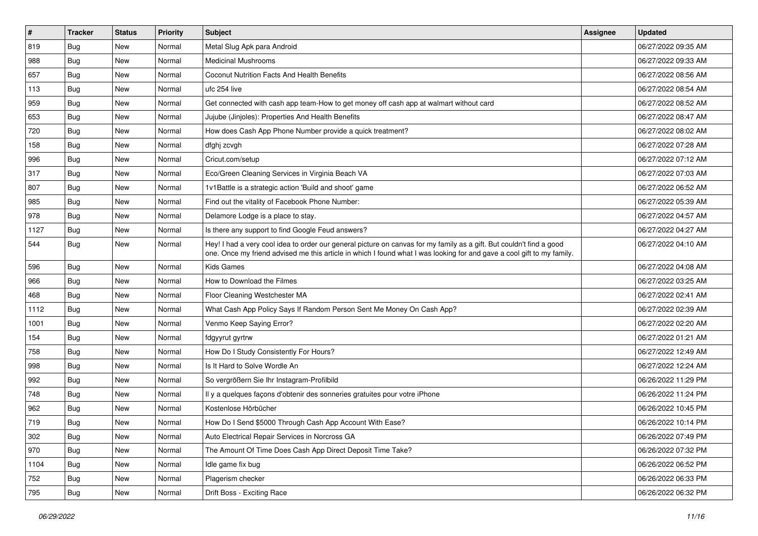| $\vert$ # | <b>Tracker</b> | <b>Status</b> | <b>Priority</b> | <b>Subject</b>                                                                                                                                                                                                                                 | <b>Assignee</b> | <b>Updated</b>      |
|-----------|----------------|---------------|-----------------|------------------------------------------------------------------------------------------------------------------------------------------------------------------------------------------------------------------------------------------------|-----------------|---------------------|
| 819       | Bug            | New           | Normal          | Metal Slug Apk para Android                                                                                                                                                                                                                    |                 | 06/27/2022 09:35 AM |
| 988       | Bug            | New           | Normal          | <b>Medicinal Mushrooms</b>                                                                                                                                                                                                                     |                 | 06/27/2022 09:33 AM |
| 657       | Bug            | New           | Normal          | Coconut Nutrition Facts And Health Benefits                                                                                                                                                                                                    |                 | 06/27/2022 08:56 AM |
| 113       | Bug            | New           | Normal          | ufc 254 live                                                                                                                                                                                                                                   |                 | 06/27/2022 08:54 AM |
| 959       | Bug            | New           | Normal          | Get connected with cash app team-How to get money off cash app at walmart without card                                                                                                                                                         |                 | 06/27/2022 08:52 AM |
| 653       | <b>Bug</b>     | New           | Normal          | Jujube (Jinjoles): Properties And Health Benefits                                                                                                                                                                                              |                 | 06/27/2022 08:47 AM |
| 720       | Bug            | New           | Normal          | How does Cash App Phone Number provide a quick treatment?                                                                                                                                                                                      |                 | 06/27/2022 08:02 AM |
| 158       | <b>Bug</b>     | New           | Normal          | dfghj zcvgh                                                                                                                                                                                                                                    |                 | 06/27/2022 07:28 AM |
| 996       | Bug            | New           | Normal          | Cricut.com/setup                                                                                                                                                                                                                               |                 | 06/27/2022 07:12 AM |
| 317       | Bug            | New           | Normal          | Eco/Green Cleaning Services in Virginia Beach VA                                                                                                                                                                                               |                 | 06/27/2022 07:03 AM |
| 807       | <b>Bug</b>     | New           | Normal          | 1v1Battle is a strategic action 'Build and shoot' game                                                                                                                                                                                         |                 | 06/27/2022 06:52 AM |
| 985       | Bug            | New           | Normal          | Find out the vitality of Facebook Phone Number:                                                                                                                                                                                                |                 | 06/27/2022 05:39 AM |
| 978       | Bug            | New           | Normal          | Delamore Lodge is a place to stay.                                                                                                                                                                                                             |                 | 06/27/2022 04:57 AM |
| 1127      | <b>Bug</b>     | New           | Normal          | Is there any support to find Google Feud answers?                                                                                                                                                                                              |                 | 06/27/2022 04:27 AM |
| 544       | <b>Bug</b>     | New           | Normal          | Hey! I had a very cool idea to order our general picture on canvas for my family as a gift. But couldn't find a good<br>one. Once my friend advised me this article in which I found what I was looking for and gave a cool gift to my family. |                 | 06/27/2022 04:10 AM |
| 596       | Bug            | New           | Normal          | <b>Kids Games</b>                                                                                                                                                                                                                              |                 | 06/27/2022 04:08 AM |
| 966       | Bug            | <b>New</b>    | Normal          | How to Download the Filmes                                                                                                                                                                                                                     |                 | 06/27/2022 03:25 AM |
| 468       | <b>Bug</b>     | New           | Normal          | Floor Cleaning Westchester MA                                                                                                                                                                                                                  |                 | 06/27/2022 02:41 AM |
| 1112      | Bug            | New           | Normal          | What Cash App Policy Says If Random Person Sent Me Money On Cash App?                                                                                                                                                                          |                 | 06/27/2022 02:39 AM |
| 1001      | Bug            | New           | Normal          | Venmo Keep Saying Error?                                                                                                                                                                                                                       |                 | 06/27/2022 02:20 AM |
| 154       | <b>Bug</b>     | New           | Normal          | fdgyyrut gyrtrw                                                                                                                                                                                                                                |                 | 06/27/2022 01:21 AM |
| 758       | Bug            | <b>New</b>    | Normal          | How Do I Study Consistently For Hours?                                                                                                                                                                                                         |                 | 06/27/2022 12:49 AM |
| 998       | <b>Bug</b>     | New           | Normal          | Is It Hard to Solve Wordle An                                                                                                                                                                                                                  |                 | 06/27/2022 12:24 AM |
| 992       | Bug            | New           | Normal          | So vergrößern Sie Ihr Instagram-Profilbild                                                                                                                                                                                                     |                 | 06/26/2022 11:29 PM |
| 748       | Bug            | New           | Normal          | Il y a quelques façons d'obtenir des sonneries gratuites pour votre iPhone                                                                                                                                                                     |                 | 06/26/2022 11:24 PM |
| 962       | Bug            | New           | Normal          | Kostenlose Hörbücher                                                                                                                                                                                                                           |                 | 06/26/2022 10:45 PM |
| 719       | Bug            | <b>New</b>    | Normal          | How Do I Send \$5000 Through Cash App Account With Ease?                                                                                                                                                                                       |                 | 06/26/2022 10:14 PM |
| 302       | Bug            | New           | Normal          | Auto Electrical Repair Services in Norcross GA                                                                                                                                                                                                 |                 | 06/26/2022 07:49 PM |
| 970       | Bug            | New           | Normal          | The Amount Of Time Does Cash App Direct Deposit Time Take?                                                                                                                                                                                     |                 | 06/26/2022 07:32 PM |
| 1104      | <b>Bug</b>     | New           | Normal          | Idle game fix bug                                                                                                                                                                                                                              |                 | 06/26/2022 06:52 PM |
| 752       | Bug            | New           | Normal          | Plagerism checker                                                                                                                                                                                                                              |                 | 06/26/2022 06:33 PM |
| 795       | <b>Bug</b>     | New           | Normal          | Drift Boss - Exciting Race                                                                                                                                                                                                                     |                 | 06/26/2022 06:32 PM |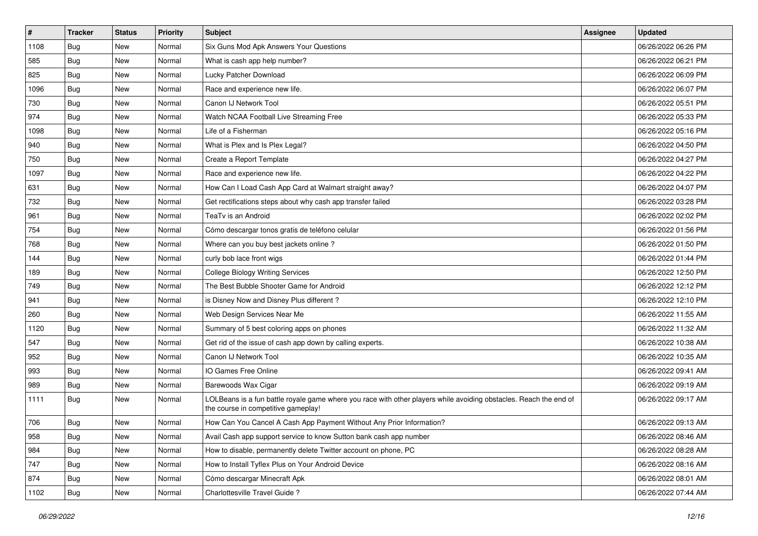| $\sharp$ | <b>Tracker</b> | <b>Status</b> | Priority | Subject                                                                                                                                                  | <b>Assignee</b> | <b>Updated</b>      |
|----------|----------------|---------------|----------|----------------------------------------------------------------------------------------------------------------------------------------------------------|-----------------|---------------------|
| 1108     | <b>Bug</b>     | New           | Normal   | Six Guns Mod Apk Answers Your Questions                                                                                                                  |                 | 06/26/2022 06:26 PM |
| 585      | Bug            | New           | Normal   | What is cash app help number?                                                                                                                            |                 | 06/26/2022 06:21 PM |
| 825      | Bug            | New           | Normal   | Lucky Patcher Download                                                                                                                                   |                 | 06/26/2022 06:09 PM |
| 1096     | Bug            | New           | Normal   | Race and experience new life.                                                                                                                            |                 | 06/26/2022 06:07 PM |
| 730      | Bug            | New           | Normal   | Canon IJ Network Tool                                                                                                                                    |                 | 06/26/2022 05:51 PM |
| 974      | Bug            | New           | Normal   | Watch NCAA Football Live Streaming Free                                                                                                                  |                 | 06/26/2022 05:33 PM |
| 1098     | Bug            | New           | Normal   | Life of a Fisherman                                                                                                                                      |                 | 06/26/2022 05:16 PM |
| 940      | Bug            | New           | Normal   | What is Plex and Is Plex Legal?                                                                                                                          |                 | 06/26/2022 04:50 PM |
| 750      | Bug            | New           | Normal   | Create a Report Template                                                                                                                                 |                 | 06/26/2022 04:27 PM |
| 1097     | Bug            | New           | Normal   | Race and experience new life.                                                                                                                            |                 | 06/26/2022 04:22 PM |
| 631      | <b>Bug</b>     | New           | Normal   | How Can I Load Cash App Card at Walmart straight away?                                                                                                   |                 | 06/26/2022 04:07 PM |
| 732      | Bug            | New           | Normal   | Get rectifications steps about why cash app transfer failed                                                                                              |                 | 06/26/2022 03:28 PM |
| 961      | Bug            | New           | Normal   | TeaTv is an Android                                                                                                                                      |                 | 06/26/2022 02:02 PM |
| 754      | Bug            | New           | Normal   | Cómo descargar tonos gratis de teléfono celular                                                                                                          |                 | 06/26/2022 01:56 PM |
| 768      | Bug            | New           | Normal   | Where can you buy best jackets online?                                                                                                                   |                 | 06/26/2022 01:50 PM |
| 144      | Bug            | New           | Normal   | curly bob lace front wigs                                                                                                                                |                 | 06/26/2022 01:44 PM |
| 189      | Bug            | New           | Normal   | <b>College Biology Writing Services</b>                                                                                                                  |                 | 06/26/2022 12:50 PM |
| 749      | Bug            | New           | Normal   | The Best Bubble Shooter Game for Android                                                                                                                 |                 | 06/26/2022 12:12 PM |
| 941      | Bug            | New           | Normal   | is Disney Now and Disney Plus different?                                                                                                                 |                 | 06/26/2022 12:10 PM |
| 260      | Bug            | New           | Normal   | Web Design Services Near Me                                                                                                                              |                 | 06/26/2022 11:55 AM |
| 1120     | <b>Bug</b>     | New           | Normal   | Summary of 5 best coloring apps on phones                                                                                                                |                 | 06/26/2022 11:32 AM |
| 547      | Bug            | New           | Normal   | Get rid of the issue of cash app down by calling experts.                                                                                                |                 | 06/26/2022 10:38 AM |
| 952      | Bug            | New           | Normal   | Canon IJ Network Tool                                                                                                                                    |                 | 06/26/2022 10:35 AM |
| 993      | <b>Bug</b>     | New           | Normal   | IO Games Free Online                                                                                                                                     |                 | 06/26/2022 09:41 AM |
| 989      | Bug            | New           | Normal   | Barewoods Wax Cigar                                                                                                                                      |                 | 06/26/2022 09:19 AM |
| 1111     | <b>Bug</b>     | New           | Normal   | LOLBeans is a fun battle royale game where you race with other players while avoiding obstacles. Reach the end of<br>the course in competitive gameplay! |                 | 06/26/2022 09:17 AM |
| 706      | <b>Bug</b>     | New           | Normal   | How Can You Cancel A Cash App Payment Without Any Prior Information?                                                                                     |                 | 06/26/2022 09:13 AM |
| 958      | Bug            | New           | Normal   | Avail Cash app support service to know Sutton bank cash app number                                                                                       |                 | 06/26/2022 08:46 AM |
| 984      | <b>Bug</b>     | New           | Normal   | How to disable, permanently delete Twitter account on phone, PC                                                                                          |                 | 06/26/2022 08:28 AM |
| 747      | <b>Bug</b>     | New           | Normal   | How to Install Tyflex Plus on Your Android Device                                                                                                        |                 | 06/26/2022 08:16 AM |
| 874      | <b>Bug</b>     | New           | Normal   | Cómo descargar Minecraft Apk                                                                                                                             |                 | 06/26/2022 08:01 AM |
| 1102     | <b>Bug</b>     | New           | Normal   | Charlottesville Travel Guide?                                                                                                                            |                 | 06/26/2022 07:44 AM |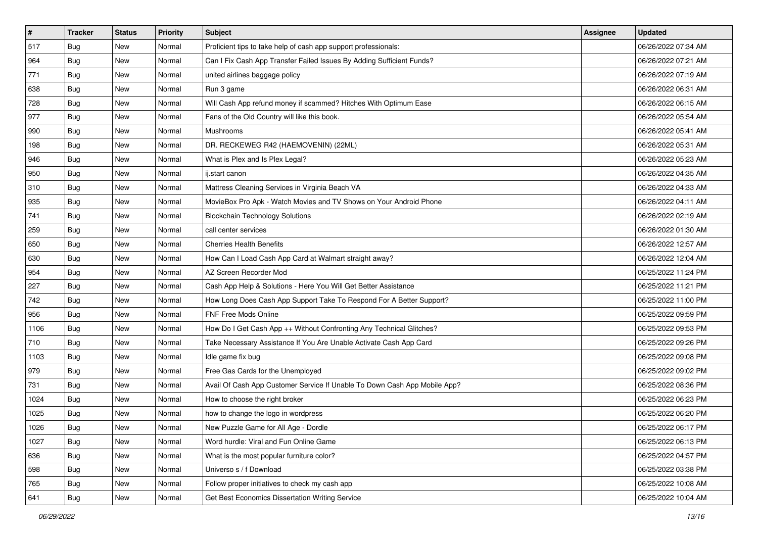| $\vert$ # | <b>Tracker</b> | <b>Status</b> | Priority | <b>Subject</b>                                                            | <b>Assignee</b> | <b>Updated</b>      |
|-----------|----------------|---------------|----------|---------------------------------------------------------------------------|-----------------|---------------------|
| 517       | <b>Bug</b>     | New           | Normal   | Proficient tips to take help of cash app support professionals:           |                 | 06/26/2022 07:34 AM |
| 964       | Bug            | New           | Normal   | Can I Fix Cash App Transfer Failed Issues By Adding Sufficient Funds?     |                 | 06/26/2022 07:21 AM |
| 771       | Bug            | New           | Normal   | united airlines baggage policy                                            |                 | 06/26/2022 07:19 AM |
| 638       | Bug            | New           | Normal   | Run 3 game                                                                |                 | 06/26/2022 06:31 AM |
| 728       | Bug            | New           | Normal   | Will Cash App refund money if scammed? Hitches With Optimum Ease          |                 | 06/26/2022 06:15 AM |
| 977       | <b>Bug</b>     | New           | Normal   | Fans of the Old Country will like this book.                              |                 | 06/26/2022 05:54 AM |
| 990       | Bug            | New           | Normal   | Mushrooms                                                                 |                 | 06/26/2022 05:41 AM |
| 198       | <b>Bug</b>     | New           | Normal   | DR. RECKEWEG R42 (HAEMOVENIN) (22ML)                                      |                 | 06/26/2022 05:31 AM |
| 946       | Bug            | New           | Normal   | What is Plex and Is Plex Legal?                                           |                 | 06/26/2022 05:23 AM |
| 950       | <b>Bug</b>     | New           | Normal   | ij.start canon                                                            |                 | 06/26/2022 04:35 AM |
| 310       | Bug            | New           | Normal   | Mattress Cleaning Services in Virginia Beach VA                           |                 | 06/26/2022 04:33 AM |
| 935       | Bug            | New           | Normal   | MovieBox Pro Apk - Watch Movies and TV Shows on Your Android Phone        |                 | 06/26/2022 04:11 AM |
| 741       | Bug            | New           | Normal   | <b>Blockchain Technology Solutions</b>                                    |                 | 06/26/2022 02:19 AM |
| 259       | Bug            | New           | Normal   | call center services                                                      |                 | 06/26/2022 01:30 AM |
| 650       | Bug            | New           | Normal   | <b>Cherries Health Benefits</b>                                           |                 | 06/26/2022 12:57 AM |
| 630       | Bug            | New           | Normal   | How Can I Load Cash App Card at Walmart straight away?                    |                 | 06/26/2022 12:04 AM |
| 954       | <b>Bug</b>     | New           | Normal   | AZ Screen Recorder Mod                                                    |                 | 06/25/2022 11:24 PM |
| 227       | Bug            | New           | Normal   | Cash App Help & Solutions - Here You Will Get Better Assistance           |                 | 06/25/2022 11:21 PM |
| 742       | Bug            | New           | Normal   | How Long Does Cash App Support Take To Respond For A Better Support?      |                 | 06/25/2022 11:00 PM |
| 956       | Bug            | New           | Normal   | FNF Free Mods Online                                                      |                 | 06/25/2022 09:59 PM |
| 1106      | <b>Bug</b>     | New           | Normal   | How Do I Get Cash App ++ Without Confronting Any Technical Glitches?      |                 | 06/25/2022 09:53 PM |
| 710       | Bug            | New           | Normal   | Take Necessary Assistance If You Are Unable Activate Cash App Card        |                 | 06/25/2022 09:26 PM |
| 1103      | Bug            | New           | Normal   | Idle game fix bug                                                         |                 | 06/25/2022 09:08 PM |
| 979       | <b>Bug</b>     | New           | Normal   | Free Gas Cards for the Unemployed                                         |                 | 06/25/2022 09:02 PM |
| 731       | Bug            | New           | Normal   | Avail Of Cash App Customer Service If Unable To Down Cash App Mobile App? |                 | 06/25/2022 08:36 PM |
| 1024      | Bug            | New           | Normal   | How to choose the right broker                                            |                 | 06/25/2022 06:23 PM |
| 1025      | <b>Bug</b>     | New           | Normal   | how to change the logo in wordpress                                       |                 | 06/25/2022 06:20 PM |
| 1026      | <b>Bug</b>     | New           | Normal   | New Puzzle Game for All Age - Dordle                                      |                 | 06/25/2022 06:17 PM |
| 1027      | Bug            | New           | Normal   | Word hurdle: Viral and Fun Online Game                                    |                 | 06/25/2022 06:13 PM |
| 636       | <b>Bug</b>     | New           | Normal   | What is the most popular furniture color?                                 |                 | 06/25/2022 04:57 PM |
| 598       | Bug            | New           | Normal   | Universo s / f Download                                                   |                 | 06/25/2022 03:38 PM |
| 765       | <b>Bug</b>     | New           | Normal   | Follow proper initiatives to check my cash app                            |                 | 06/25/2022 10:08 AM |
| 641       | <b>Bug</b>     | New           | Normal   | Get Best Economics Dissertation Writing Service                           |                 | 06/25/2022 10:04 AM |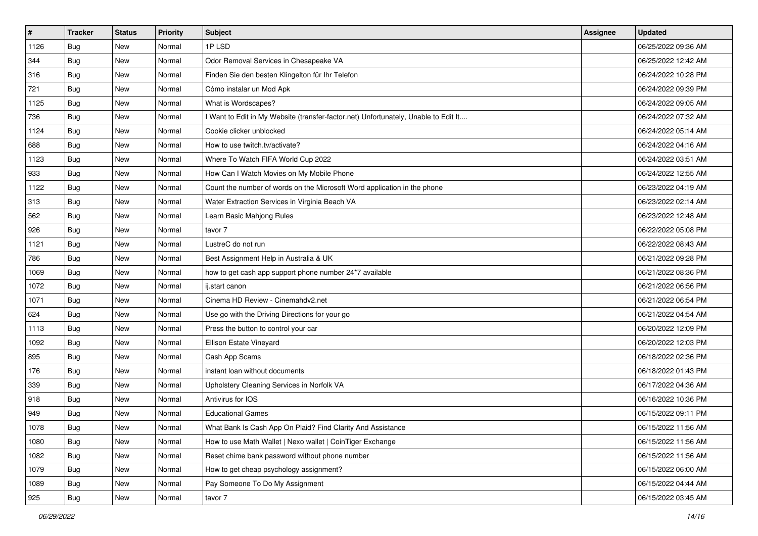| $\vert$ # | <b>Tracker</b> | <b>Status</b> | Priority | Subject                                                                           | <b>Assignee</b> | <b>Updated</b>      |
|-----------|----------------|---------------|----------|-----------------------------------------------------------------------------------|-----------------|---------------------|
| 1126      | <b>Bug</b>     | New           | Normal   | 1PLSD                                                                             |                 | 06/25/2022 09:36 AM |
| 344       | Bug            | New           | Normal   | Odor Removal Services in Chesapeake VA                                            |                 | 06/25/2022 12:42 AM |
| 316       | Bug            | New           | Normal   | Finden Sie den besten Klingelton für Ihr Telefon                                  |                 | 06/24/2022 10:28 PM |
| 721       | Bug            | New           | Normal   | Cómo instalar un Mod Apk                                                          |                 | 06/24/2022 09:39 PM |
| 1125      | Bug            | New           | Normal   | What is Wordscapes?                                                               |                 | 06/24/2022 09:05 AM |
| 736       | Bug            | New           | Normal   | Want to Edit in My Website (transfer-factor.net) Unfortunately, Unable to Edit It |                 | 06/24/2022 07:32 AM |
| 1124      | Bug            | New           | Normal   | Cookie clicker unblocked                                                          |                 | 06/24/2022 05:14 AM |
| 688       | Bug            | New           | Normal   | How to use twitch.tv/activate?                                                    |                 | 06/24/2022 04:16 AM |
| 1123      | Bug            | New           | Normal   | Where To Watch FIFA World Cup 2022                                                |                 | 06/24/2022 03:51 AM |
| 933       | Bug            | New           | Normal   | How Can I Watch Movies on My Mobile Phone                                         |                 | 06/24/2022 12:55 AM |
| 1122      | Bug            | New           | Normal   | Count the number of words on the Microsoft Word application in the phone          |                 | 06/23/2022 04:19 AM |
| 313       | Bug            | New           | Normal   | Water Extraction Services in Virginia Beach VA                                    |                 | 06/23/2022 02:14 AM |
| 562       | Bug            | New           | Normal   | Learn Basic Mahjong Rules                                                         |                 | 06/23/2022 12:48 AM |
| 926       | <b>Bug</b>     | New           | Normal   | tavor 7                                                                           |                 | 06/22/2022 05:08 PM |
| 1121      | <b>Bug</b>     | New           | Normal   | LustreC do not run                                                                |                 | 06/22/2022 08:43 AM |
| 786       | Bug            | New           | Normal   | Best Assignment Help in Australia & UK                                            |                 | 06/21/2022 09:28 PM |
| 1069      | Bug            | New           | Normal   | how to get cash app support phone number 24*7 available                           |                 | 06/21/2022 08:36 PM |
| 1072      | Bug            | New           | Normal   | ij.start canon                                                                    |                 | 06/21/2022 06:56 PM |
| 1071      | <b>Bug</b>     | New           | Normal   | Cinema HD Review - Cinemahdv2.net                                                 |                 | 06/21/2022 06:54 PM |
| 624       | Bug            | New           | Normal   | Use go with the Driving Directions for your go                                    |                 | 06/21/2022 04:54 AM |
| 1113      | <b>Bug</b>     | New           | Normal   | Press the button to control your car                                              |                 | 06/20/2022 12:09 PM |
| 1092      | Bug            | New           | Normal   | Ellison Estate Vineyard                                                           |                 | 06/20/2022 12:03 PM |
| 895       | Bug            | New           | Normal   | Cash App Scams                                                                    |                 | 06/18/2022 02:36 PM |
| 176       | <b>Bug</b>     | New           | Normal   | instant loan without documents                                                    |                 | 06/18/2022 01:43 PM |
| 339       | Bug            | New           | Normal   | Upholstery Cleaning Services in Norfolk VA                                        |                 | 06/17/2022 04:36 AM |
| 918       | Bug            | New           | Normal   | Antivirus for IOS                                                                 |                 | 06/16/2022 10:36 PM |
| 949       | <b>Bug</b>     | New           | Normal   | <b>Educational Games</b>                                                          |                 | 06/15/2022 09:11 PM |
| 1078      | <b>Bug</b>     | New           | Normal   | What Bank Is Cash App On Plaid? Find Clarity And Assistance                       |                 | 06/15/2022 11:56 AM |
| 1080      | <b>Bug</b>     | New           | Normal   | How to use Math Wallet   Nexo wallet   CoinTiger Exchange                         |                 | 06/15/2022 11:56 AM |
| 1082      | <b>Bug</b>     | New           | Normal   | Reset chime bank password without phone number                                    |                 | 06/15/2022 11:56 AM |
| 1079      | Bug            | New           | Normal   | How to get cheap psychology assignment?                                           |                 | 06/15/2022 06:00 AM |
| 1089      | Bug            | New           | Normal   | Pay Someone To Do My Assignment                                                   |                 | 06/15/2022 04:44 AM |
| 925       | <b>Bug</b>     | New           | Normal   | tavor 7                                                                           |                 | 06/15/2022 03:45 AM |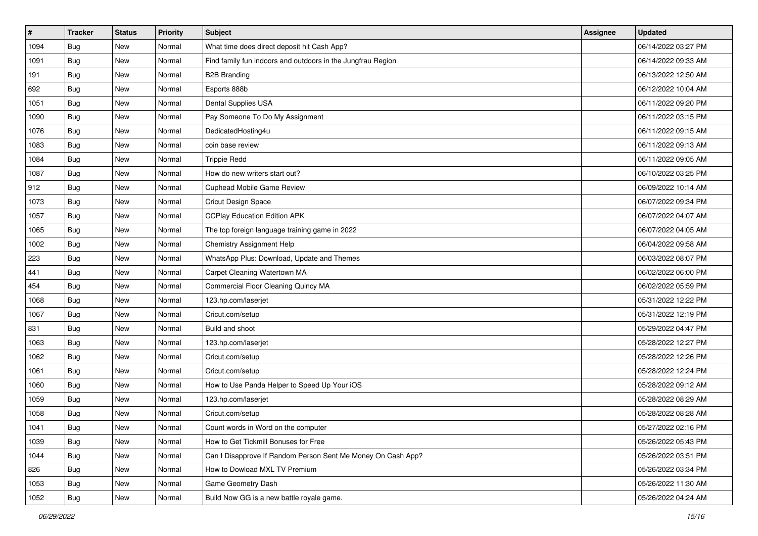| $\vert$ # | <b>Tracker</b> | <b>Status</b> | <b>Priority</b> | <b>Subject</b>                                               | <b>Assignee</b> | <b>Updated</b>      |
|-----------|----------------|---------------|-----------------|--------------------------------------------------------------|-----------------|---------------------|
| 1094      | <b>Bug</b>     | New           | Normal          | What time does direct deposit hit Cash App?                  |                 | 06/14/2022 03:27 PM |
| 1091      | Bug            | New           | Normal          | Find family fun indoors and outdoors in the Jungfrau Region  |                 | 06/14/2022 09:33 AM |
| 191       | Bug            | New           | Normal          | <b>B2B Branding</b>                                          |                 | 06/13/2022 12:50 AM |
| 692       | <b>Bug</b>     | New           | Normal          | Esports 888b                                                 |                 | 06/12/2022 10:04 AM |
| 1051      | Bug            | <b>New</b>    | Normal          | Dental Supplies USA                                          |                 | 06/11/2022 09:20 PM |
| 1090      | Bug            | New           | Normal          | Pay Someone To Do My Assignment                              |                 | 06/11/2022 03:15 PM |
| 1076      | Bug            | New           | Normal          | DedicatedHosting4u                                           |                 | 06/11/2022 09:15 AM |
| 1083      | Bug            | New           | Normal          | coin base review                                             |                 | 06/11/2022 09:13 AM |
| 1084      | <b>Bug</b>     | New           | Normal          | <b>Trippie Redd</b>                                          |                 | 06/11/2022 09:05 AM |
| 1087      | Bug            | <b>New</b>    | Normal          | How do new writers start out?                                |                 | 06/10/2022 03:25 PM |
| 912       | <b>Bug</b>     | New           | Normal          | Cuphead Mobile Game Review                                   |                 | 06/09/2022 10:14 AM |
| 1073      | Bug            | New           | Normal          | Cricut Design Space                                          |                 | 06/07/2022 09:34 PM |
| 1057      | Bug            | New           | Normal          | <b>CCPlay Education Edition APK</b>                          |                 | 06/07/2022 04:07 AM |
| 1065      | Bug            | New           | Normal          | The top foreign language training game in 2022               |                 | 06/07/2022 04:05 AM |
| 1002      | Bug            | New           | Normal          | <b>Chemistry Assignment Help</b>                             |                 | 06/04/2022 09:58 AM |
| 223       | <b>Bug</b>     | New           | Normal          | WhatsApp Plus: Download, Update and Themes                   |                 | 06/03/2022 08:07 PM |
| 441       | <b>Bug</b>     | New           | Normal          | Carpet Cleaning Watertown MA                                 |                 | 06/02/2022 06:00 PM |
| 454       | <b>Bug</b>     | <b>New</b>    | Normal          | Commercial Floor Cleaning Quincy MA                          |                 | 06/02/2022 05:59 PM |
| 1068      | Bug            | New           | Normal          | 123.hp.com/laserjet                                          |                 | 05/31/2022 12:22 PM |
| 1067      | Bug            | New           | Normal          | Cricut.com/setup                                             |                 | 05/31/2022 12:19 PM |
| 831       | Bug            | New           | Normal          | Build and shoot                                              |                 | 05/29/2022 04:47 PM |
| 1063      | <b>Bug</b>     | New           | Normal          | 123.hp.com/laserjet                                          |                 | 05/28/2022 12:27 PM |
| 1062      | Bug            | <b>New</b>    | Normal          | Cricut.com/setup                                             |                 | 05/28/2022 12:26 PM |
| 1061      | Bug            | New           | Normal          | Cricut.com/setup                                             |                 | 05/28/2022 12:24 PM |
| 1060      | <b>Bug</b>     | New           | Normal          | How to Use Panda Helper to Speed Up Your iOS                 |                 | 05/28/2022 09:12 AM |
| 1059      | Bug            | New           | Normal          | 123.hp.com/laserjet                                          |                 | 05/28/2022 08:29 AM |
| 1058      | Bug            | New           | Normal          | Cricut.com/setup                                             |                 | 05/28/2022 08:28 AM |
| 1041      | Bug            | New           | Normal          | Count words in Word on the computer                          |                 | 05/27/2022 02:16 PM |
| 1039      | <b>Bug</b>     | New           | Normal          | How to Get Tickmill Bonuses for Free                         |                 | 05/26/2022 05:43 PM |
| 1044      | <b>Bug</b>     | New           | Normal          | Can I Disapprove If Random Person Sent Me Money On Cash App? |                 | 05/26/2022 03:51 PM |
| 826       | Bug            | New           | Normal          | How to Dowload MXL TV Premium                                |                 | 05/26/2022 03:34 PM |
| 1053      | <b>Bug</b>     | New           | Normal          | Game Geometry Dash                                           |                 | 05/26/2022 11:30 AM |
| 1052      | <b>Bug</b>     | New           | Normal          | Build Now GG is a new battle royale game.                    |                 | 05/26/2022 04:24 AM |